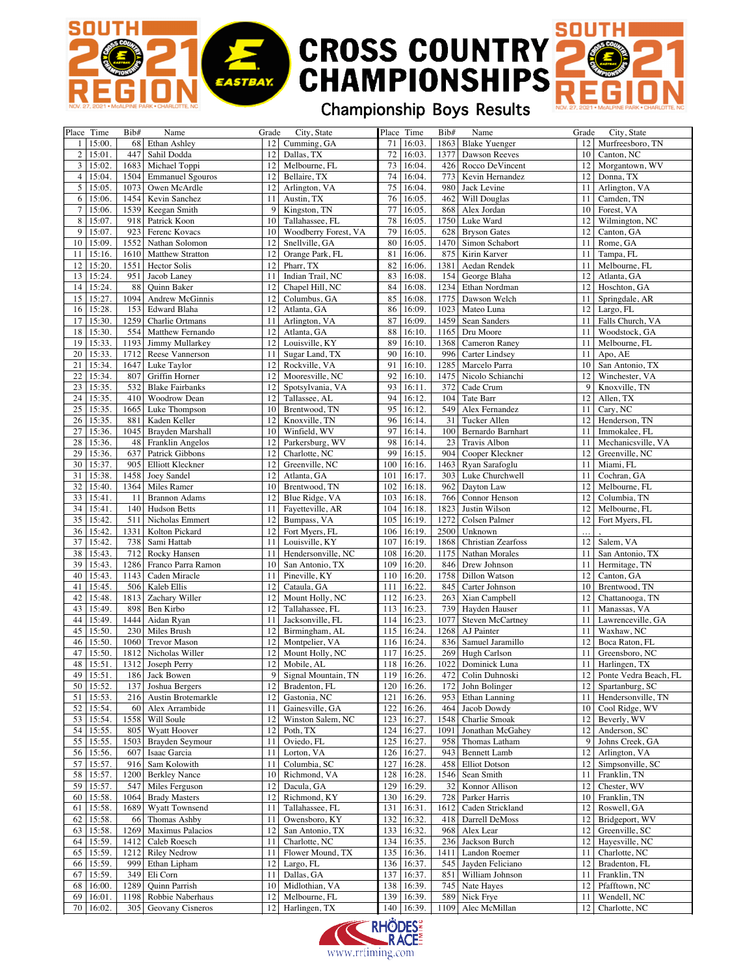## **SOUTH CROSS COUNTRY**<br>CHAMPIONSHIPS

## Championship Boys Results

**SOUTH** 

EASTBAY.

| Place Time                   | Bib#        | Name                    | Grade          | City, State          |            | Place Time       | Bib#       | Name                         | Grade           | City, State           |
|------------------------------|-------------|-------------------------|----------------|----------------------|------------|------------------|------------|------------------------------|-----------------|-----------------------|
| 15:00.<br>1                  | 68          | Ethan Ashley            | 12             | Cumming, GA          | 71         | 16:03.           | 1863       | <b>Blake Yuenger</b>         | 12              | Murfreesboro, TN      |
| $\overline{c}$<br>15:01.     | 447         | Sahil Dodda             | 12             | Dallas, TX           | 72         | 16:03.           | 1377       | Dawson Reeves                | 10              | Canton, NC            |
| 3<br>15:02                   | 1683        | Michael Toppi           | 12             | Melbourne, FL        | 73         | 16:04.           | 426        | Rocco DeVincent              | 12              | Morgantown, WV        |
| 4<br>15:04.                  | 1504        | <b>Emmanuel Sgouros</b> | 12             | Bellaire, TX         | 74         | 16:04.           | 773        | Kevin Hernandez              | 12              | Donna, TX             |
| 5<br>15:05.                  | 1073        | Owen McArdle            | 12             | Arlington, VA        | 75         | 16:04.           | 980        | Jack Levine                  | 11              | Arlington, VA         |
| 6<br>15:06                   | 1454        | Kevin Sanchez           | 11             | Austin, TX           | 76         | 16:05.           | 462        | Will Douglas                 | 11              | Camden, TN            |
| 7<br>15:06.                  | 1539        | Keegan Smith            | 9              | Kingston, TN         | 77         | 16:05.           | 868        | Alex Jordan                  | 10              | Forest, VA            |
| 8                            |             |                         | 10             | Tallahassee, FL      | 78         |                  |            |                              | 12              | Wilmington, NC        |
| 15:07.                       | 918         | Patrick Koon            |                |                      |            | 16:05.           | 1750       | Luke Ward                    |                 |                       |
| 9<br>15:07.                  | 923         | Ferenc Kovacs           | 10             | Woodberry Forest, VA | 79         | 16:05.           | 628        | <b>Bryson Gates</b>          | 12              | Canton, GA            |
| 10<br>15:09.                 | 1552        | Nathan Solomon          | 12             | Snellville, GA       | 80         | 16:05.           | 1470       | Simon Schabort               | 11              | Rome, GA              |
| 15:16.<br>11                 | 1610        | <b>Matthew Stratton</b> | 12             | Orange Park, FL      | 81         | 16:06.           | 875        | Kirin Karver                 | 11              | Tampa, FL             |
| 12<br>15:20.                 | 1551        | <b>Hector Solis</b>     | 12             | Pharr, TX            | 82         | 16:06.           | 1381       | Aedan Rendek                 | 11              | Melbourne, FL         |
| 13<br>15:24.                 | 951         | Jacob Laney             | 11             | Indian Trail, NC     | 83         | 16:08.           | 154        | George Blaha                 | 12              | Atlanta, GA           |
| 14<br>15:24.                 | 88          | <b>Quinn Baker</b>      | 12             | Chapel Hill, NC      | 84         | 16:08.           | 1234       | Ethan Nordman                | 12              | Hoschton, GA          |
| 15<br>15:27.                 | 1094        | <b>Andrew McGinnis</b>  | 12             | Columbus, GA         | 85         | 16:08            | 1775       | Dawson Welch                 | 11              | Springdale, AR        |
| 16<br>15:28.                 | 153         | Edward Blaha            | 12             | Atlanta, GA          | 86         | 16:09.           | 1023       | Mateo Luna                   | 12              | Largo, FL             |
| 15:30.<br>17                 | 1259        | Charlie Ortmans         | 11             | Arlington, VA        | 87         | 16:09.           | 1459       | Sean Sanders                 | 11              | Falls Church, VA      |
| 18<br>15:30.                 | 554         | Matthew Fernando        | 12             | Atlanta, GA          | 88         | 16:10            | 1165       | Dru Moore                    | 11              | Woodstock, GA         |
| 19<br>15:33.                 | 1193        | Jimmy Mullarkey         | 12             | Louisville, KY       | 89         | 16:10.           | 1368       | Cameron Raney                | 11              | Melbourne, FL         |
| 20<br>15:33.                 | 1712        | Reese Vannerson         | 11             | Sugar Land, TX       | 90         | 16:10.           | 996        | Carter Lindsey               | 11              | Apo, AE               |
| 21<br>15:34.                 | 1647        | Luke Taylor             | 12             | Rockville, VA        | 91         | 16:10            | 1285       | Marcelo Parra                | 10              | San Antonio, TX       |
| 22<br>15:34.                 | 807         | Griffin Horner          | 12             | Mooresville, NC      | 92         | 16:10.           | 1475       | Nicolo Schianchi             | 12              | Winchester, VA        |
| 23<br>15:35.                 | 532         | <b>Blake Fairbanks</b>  | 12             | Spotsylvania, VA     | 93         | 16:11.           | 372        | Cade Crum                    | 9               | Knoxville, TN         |
|                              |             |                         | 12             | Tallassee, AL        | 94         |                  |            |                              |                 |                       |
| 15:35.<br>24<br>25           | 410         | Woodrow Dean            | 10             |                      | 95         | 16:12.           | 104<br>549 | Tate Barr<br>Alex Fernandez  | 12<br>11        | Allen, TX             |
| 15:35.                       | 1665        | Luke Thompson           |                | Brentwood, TN        |            | 16:12.           |            |                              |                 | Cary, NC              |
| 15:35.<br>26                 | 881         | Kaden Keller            | 12             | Knoxville, TN        | 96         | 16:14.           | 31         | Tucker Allen                 | 12              | Henderson, TN         |
| 27<br>15:36.                 | 1045        | Brayden Marshall        | 10             | Winfield, WV         | 97         | 16:14.           | 100        | Bernardo Barnhart            | 11              | Immokalee, FL         |
| 28<br>15:36.                 | 48          | Franklin Angelos        | 12             | Parkersburg, WV      | 98         | 16:14.           | 23         | Travis Albon                 | 11              | Mechanicsville, VA    |
| 29<br>15:36.                 | 637         | Patrick Gibbons         | 12             | Charlotte, NC        | 99         | 16:15.           | 904        | Cooper Kleckner              | 12              | Greenville, NC        |
| 30<br>15:37.                 | 905         | <b>Elliott Kleckner</b> | 12             | Greenville, NC       | 100        | 16:16.           | 1463       | Ryan Sarafoglu               | 11              | Miami, FL             |
| 31<br>15:38.                 | 1458        | Joey Sandel             | 12             | Atlanta, GA          | 101        | 16:17.           | 303        | Luke Churchwell              | 11              | Cochran, GA           |
| 32<br>15:40.                 | 1364        | Miles Ramer             | 10             | Brentwood, TN        | 102        | 16:18.           | 962        | Dayton Law                   | 12              | Melbourne, FL         |
| 33<br>15:41.                 | 11          | <b>Brannon Adams</b>    | 12             | Blue Ridge, VA       | 103        | 16:18.           | 766        | Connor Henson                | 12              | Columbia, TN          |
| 34<br>15:41.                 | 140         | Hudson Betts            | 11             | Fayetteville, AR     | 104        | 16:18.           | 1823       | Justin Wilson                | 12              | Melbourne, FL         |
| 35<br>15:42.                 | 511         | Nicholas Emmert         | 12             | Bumpass, VA          | 105        | 16:19.           | 1272       | Colsen Palmer                | 12              | Fort Myers, FL        |
| 36<br>15:42.                 | 1331        | Kolton Pickard          | 12             | Fort Myers, FL       | 106        | 16:19            | 2500       | Unknown                      |                 |                       |
| 37<br>15:42.                 | 738         | Sami Hattab             | 11             | Louisville, KY       | 107        | 16:19.           | 1868       | Christian Zearfoss           | 12              | Salem, VA             |
| 38<br>15:43.                 | 712         | Rocky Hansen            | 11             | Hendersonville, NC   | 108        | 16:20.           | 1175       | Nathan Morales               | 11              | San Antonio, TX       |
| 39<br>15:43.                 | 1286        | Franco Parra Ramon      | 10             | San Antonio, TX      | 109        | 16:20            | 846        | Drew Johnson                 | 11              | Hermitage, TN         |
| 40<br>15:43.                 | 1143        | Caden Miracle           | 11             | Pineville, KY        | 110        | 16:20.           | 1758       | Dillon Watson                | 12              | Canton, GA            |
|                              |             |                         | 12             |                      |            |                  |            |                              | 10              |                       |
| 41<br>15:45.                 | 506         | Kaleb Ellis             |                | Cataula, GA          | 111        | 16:22.           | 845        | Carter Johnson               |                 | Brentwood, TN         |
| 42<br>15:48.                 | 1813        | Zachary Willer          | 12             | Mount Holly, NC      | 112        | 16:23.           | 263        | Xian Campbell                | 12              | Chattanooga, TN       |
| 43<br>15:49.                 | 898         | Ben Kirbo               | 12             | Tallahassee, FL      | 113        | 16:23.           | 739        | Hayden Hauser                | 11              | Manassas, VA          |
| 44<br>15:49.                 | 1444        | Aidan Ryan              | 11             | Jacksonville, FL     | 114        | 16:23.           | 1077       | Steven McCartney             | 11              | Lawrenceville, GA     |
| 45<br>15:50.                 | 230         | Miles Brush             | 12             | Birmingham, AL       | 115        | 16:24.           | 1268       | AJ Painter                   | 11              | Waxhaw, NC            |
| 46<br>15:50.                 | 1060        | <b>Trevor Mason</b>     | 12             | Montpelier, VA       | 116        | 16:24.           | 836        | Samuel Jaramillo             | 12              | Boca Raton, FL        |
| 47<br>15:50.                 | 1812        | Nicholas Willer         | 12             | Mount Holly, NC      | 117        | 16:25.           | 269        | Hugh Carlson                 | 11              | Greensboro, NC        |
| 48<br>15:51                  | 1312        | Joseph Perry            | 12             | Mobile, AL           | 118        | 16:26.           | 1022       | Dominick Luna                | 11              | Harlingen, TX         |
| 49<br>15:51.                 |             | 186 Jack Bowen          | $\overline{9}$ | Signal Mountain, TN  | 119        | 16:26.           |            | 472 Colin Duhnoski           | 12              | Ponte Vedra Beach, FL |
| 50<br>15:52.                 | 137         | Joshua Bergers          | 12             | Bradenton, FL        |            | 120 16:26.       |            | 172 John Bolinger            | 12              | Spartanburg, SC       |
| 15:53.<br>51                 | 216         | Austin Brotemarkle      | 12             | Gastonia, NC         | 121        | 16:26.           | 953        | Ethan Lanning                | 11              | Hendersonville, TN    |
| 15:54.<br>52                 | 60          | Alex Arrambide          | 11             | Gainesville, GA      | 122        | 16:26.           | 464        | Jacob Dowdy                  | 10              | Cool Ridge, WV        |
| 15:54.<br>53                 | 1558        | Will Soule              | 12             | Winston Salem, NC    | 123        | 16:27.           | 1548       | Charlie Smoak                | 12              | Beverly, WV           |
| 15:55.<br>54                 | 805         | Wyatt Hoover            | 12             | Poth, TX             | 124        | 16:27.           | 1091       | Jonathan McGahey             | 12              | Anderson, SC          |
| 55<br>15:55.                 | 1503        | Brayden Seymour         | 11             | Oviedo, FL           | 125        | 16:27.           | 958        | Thomas Latham                | 9               | Johns Creek, GA       |
| 15:56.<br>56                 | 607         | Isaac Garcia            | 11             | Lorton, VA           | 126        | 16:27.           | 943        | <b>Bennett</b> Lamb          | 12              | Arlington, VA         |
| 57<br>15:57.                 | 916         | Sam Kolowith            | 11             | Columbia, SC         | 127        | 16:28.           | 458        | <b>Elliot</b> Dotson         | 12              | Simpsonville, SC      |
|                              |             | <b>Berkley Nance</b>    | 10             | Richmond, VA         |            |                  |            |                              |                 | Franklin, TN          |
| 58<br>15:57.<br>59<br>15:57. | 1200<br>547 |                         | 12             | Dacula, GA           | 128<br>129 | 16:28.<br>16:29. | 1546       | Sean Smith<br>Konnor Allison | 11<br>12        | Chester, WV           |
|                              |             | Miles Ferguson          |                |                      |            |                  | 32         |                              |                 |                       |
| 15:58.<br>60                 | 1064        | <b>Brady Masters</b>    | 12             | Richmond, KY         | 130        | 16:29.           | 728        | Parker Harris                | 10              | Franklin, TN          |
| 15:58.<br>61                 | 1689        | Wyatt Townsend          | 11             | Tallahassee, FL      | 131        | 16:31.           | 1612       | Caden Strickland             | 12              | Roswell, GA           |
| 15:58.<br>62                 | 66          | Thomas Ashby            | 11             | Owensboro, KY        | 132        | 16:32.           | 418        | Darrell DeMoss               | 12              | Bridgeport, WV        |
| 15:58.<br>63                 | 1269        | Maximus Palacios        | 12             | San Antonio, TX      | 133        | 16:32.           | 968        | Alex Lear                    | 12              | Greenville, SC        |
| 15:59.<br>64                 | 1412        | Caleb Roesch            | 11             | Charlotte, NC        | 134        | 16:35.           | 236        | Jackson Burch                | 12              | Hayesville, NC        |
| 65<br>15:59.                 | 1212        | <b>Riley Nedrow</b>     | 11             | Flower Mound, TX     | 135        | 16:36.           | 1411       | Landon Roemer                | 11              | Charlotte, NC         |
| 15:59.<br>66                 | 999         | Ethan Lipham            | 12             | Largo, FL            |            | 136 16:37.       |            | 545 Jayden Feliciano         | 12              | Bradenton, FL         |
| 15:59.<br>67                 | 349         | Eli Corn                | 11             | Dallas, GA           | 137        | 16:37.           | 851        | William Johnson              | 11              | Franklin, TN          |
| 68<br>16:00.                 | 1289        | Quinn Parrish           | 10             | Midlothian, VA       |            | 138 16:39.       |            | 745 Nate Hayes               | 12              | Pfafftown, NC         |
| 69<br>16:01.                 | 1198        | Robbie Naberhaus        | 12             | Melbourne, FL        | 139        | 16:39.           |            | 589 Nick Frye                | 11 <sup>1</sup> | Wendell, NC           |
| 16:02.<br>70                 | 305         | Geovany Cisneros        | 12             | Harlingen, TX        |            | 140 16:39.       |            | 1109 Alec McMillan           | 12              | Charlotte, NC         |